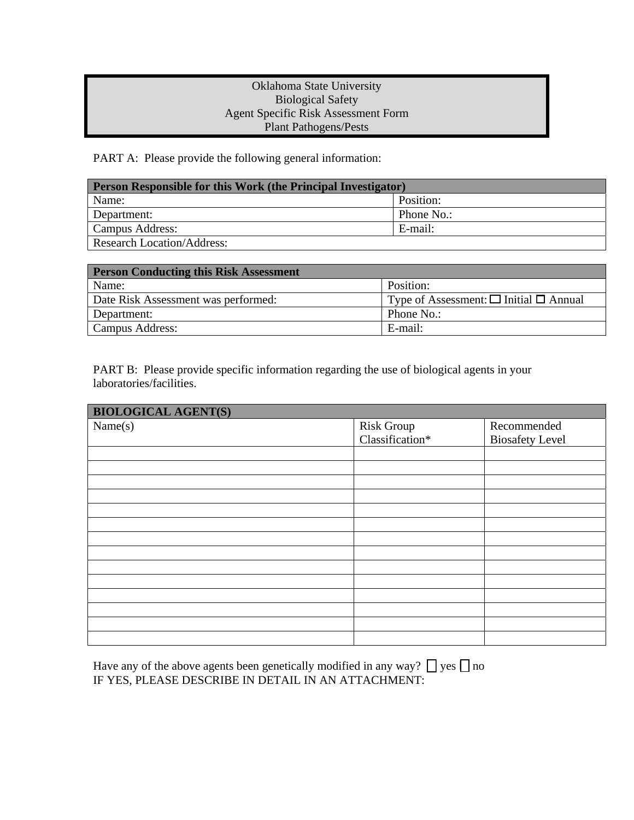## Oklahoma State University Biological Safety Agent Specific Risk Assessment Form Plant Pathogens/Pests

PART A: Please provide the following general information:

| <b>Person Responsible for this Work (the Principal Investigator)</b> |            |  |
|----------------------------------------------------------------------|------------|--|
| Name:                                                                | Position:  |  |
| Department:                                                          | Phone No.: |  |
| Campus Address:                                                      | E-mail:    |  |
| <b>Research Location/Address:</b>                                    |            |  |

| <b>Person Conducting this Risk Assessment</b> |                                                  |  |
|-----------------------------------------------|--------------------------------------------------|--|
| Name:                                         | Position:                                        |  |
| Date Risk Assessment was performed:           | Type of Assessment: $\Box$ Initial $\Box$ Annual |  |
| Department:                                   | Phone No.:                                       |  |
| Campus Address:                               | E-mail:                                          |  |

PART B: Please provide specific information regarding the use of biological agents in your laboratories/facilities.

| <b>BIOLOGICAL AGENT(S)</b> |                               |                        |  |
|----------------------------|-------------------------------|------------------------|--|
| Name(s)                    | Risk Group<br>Classification* | Recommended            |  |
|                            |                               | <b>Biosafety Level</b> |  |
|                            |                               |                        |  |
|                            |                               |                        |  |
|                            |                               |                        |  |
|                            |                               |                        |  |
|                            |                               |                        |  |
|                            |                               |                        |  |
|                            |                               |                        |  |
|                            |                               |                        |  |
|                            |                               |                        |  |
|                            |                               |                        |  |
|                            |                               |                        |  |
|                            |                               |                        |  |
|                            |                               |                        |  |
|                            |                               |                        |  |

Have any of the above agents been genetically modified in any way?  $\Box$  yes  $\Box$  no IF YES, PLEASE DESCRIBE IN DETAIL IN AN ATTACHMENT: